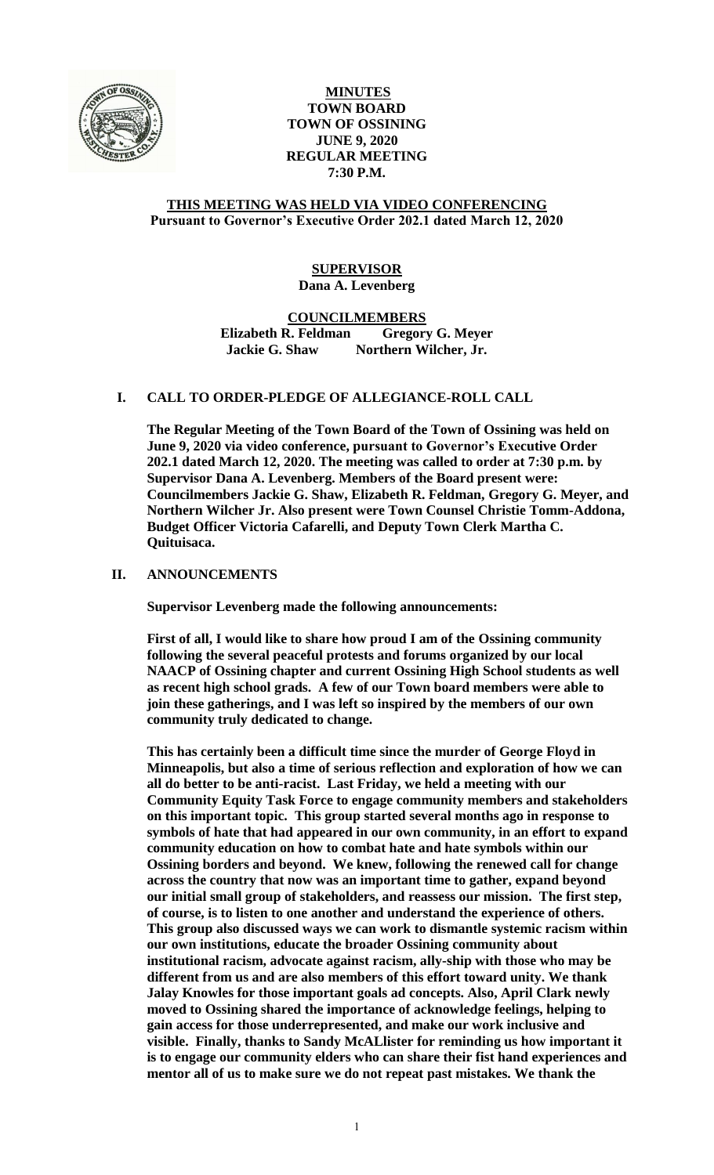

# **MINUTES TOWN BOARD TOWN OF OSSINING JUNE 9, 2020 REGULAR MEETING 7:30 P.M.**

# **THIS MEETING WAS HELD VIA VIDEO CONFERENCING Pursuant to Governor's Executive Order 202.1 dated March 12, 2020**

# **SUPERVISOR Dana A. Levenberg**

**COUNCILMEMBERS Elizabeth R. Feldman Gregory G. Meyer Jackie G. Shaw Northern Wilcher, Jr.**

# **I. CALL TO ORDER-PLEDGE OF ALLEGIANCE-ROLL CALL**

**The Regular Meeting of the Town Board of the Town of Ossining was held on June 9, 2020 via video conference, pursuant to Governor's Executive Order 202.1 dated March 12, 2020. The meeting was called to order at 7:30 p.m. by Supervisor Dana A. Levenberg. Members of the Board present were: Councilmembers Jackie G. Shaw, Elizabeth R. Feldman, Gregory G. Meyer, and Northern Wilcher Jr. Also present were Town Counsel Christie Tomm-Addona, Budget Officer Victoria Cafarelli, and Deputy Town Clerk Martha C. Quituisaca.**

# **II. ANNOUNCEMENTS**

**Supervisor Levenberg made the following announcements:**

**First of all, I would like to share how proud I am of the Ossining community following the several peaceful protests and forums organized by our local NAACP of Ossining chapter and current Ossining High School students as well as recent high school grads. A few of our Town board members were able to join these gatherings, and I was left so inspired by the members of our own community truly dedicated to change.** 

**This has certainly been a difficult time since the murder of George Floyd in Minneapolis, but also a time of serious reflection and exploration of how we can all do better to be anti-racist. Last Friday, we held a meeting with our Community Equity Task Force to engage community members and stakeholders on this important topic. This group started several months ago in response to symbols of hate that had appeared in our own community, in an effort to expand community education on how to combat hate and hate symbols within our Ossining borders and beyond. We knew, following the renewed call for change across the country that now was an important time to gather, expand beyond our initial small group of stakeholders, and reassess our mission. The first step, of course, is to listen to one another and understand the experience of others. This group also discussed ways we can work to dismantle systemic racism within our own institutions, educate the broader Ossining community about institutional racism, advocate against racism, ally-ship with those who may be different from us and are also members of this effort toward unity. We thank Jalay Knowles for those important goals ad concepts. Also, April Clark newly moved to Ossining shared the importance of acknowledge feelings, helping to gain access for those underrepresented, and make our work inclusive and visible. Finally, thanks to Sandy McALlister for reminding us how important it is to engage our community elders who can share their fist hand experiences and mentor all of us to make sure we do not repeat past mistakes. We thank the**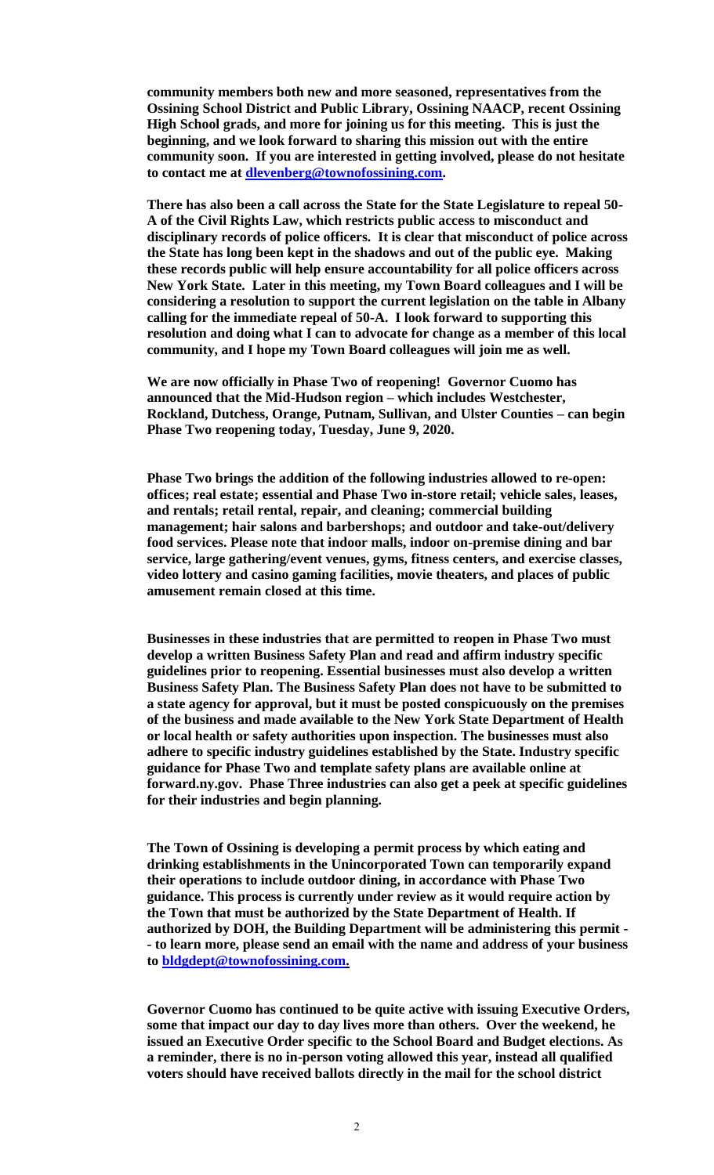**community members both new and more seasoned, representatives from the Ossining School District and Public Library, Ossining NAACP, recent Ossining High School grads, and more for joining us for this meeting. This is just the beginning, and we look forward to sharing this mission out with the entire community soon. If you are interested in getting involved, please do not hesitate to contact me at [dlevenberg@townofossining.com.](mailto:dlevenberg@townofossining.com)** 

**There has also been a call across the State for the State Legislature to repeal 50- A of the Civil Rights Law, which restricts public access to misconduct and disciplinary records of police officers. It is clear that misconduct of police across the State has long been kept in the shadows and out of the public eye. Making these records public will help ensure accountability for all police officers across New York State. Later in this meeting, my Town Board colleagues and I will be considering a resolution to support the current legislation on the table in Albany calling for the immediate repeal of 50-A. I look forward to supporting this resolution and doing what I can to advocate for change as a member of this local community, and I hope my Town Board colleagues will join me as well.** 

**We are now officially in Phase Two of reopening! Governor Cuomo has announced that the Mid-Hudson region – which includes Westchester, Rockland, Dutchess, Orange, Putnam, Sullivan, and Ulster Counties – can begin Phase Two reopening today, Tuesday, June 9, 2020.**

**Phase Two brings the addition of the following industries allowed to re-open: offices; real estate; essential and Phase Two in-store retail; vehicle sales, leases, and rentals; retail rental, repair, and cleaning; commercial building management; hair salons and barbershops; and outdoor and take-out/delivery food services. Please note that indoor malls, indoor on-premise dining and bar service, large gathering/event venues, gyms, fitness centers, and exercise classes, video lottery and casino gaming facilities, movie theaters, and places of public amusement remain closed at this time.**

**Businesses in these industries that are permitted to reopen in Phase Two must develop a written Business Safety Plan and read and affirm industry specific guidelines prior to reopening. Essential businesses must also develop a written Business Safety Plan. The Business Safety Plan does not have to be submitted to a state agency for approval, but it must be posted conspicuously on the premises of the business and made available to the New York State Department of Health or local health or safety authorities upon inspection. The businesses must also adhere to specific industry guidelines established by the State. Industry specific guidance for Phase Two and template safety plans are available online at forward.ny.gov. Phase Three industries can also get a peek at specific guidelines for their industries and begin planning.** 

**The Town of Ossining is developing a permit process by which eating and drinking establishments in the Unincorporated Town can temporarily expand their operations to include outdoor dining, in accordance with Phase Two guidance. This process is currently under review as it would require action by the Town that must be authorized by the State Department of Health. If authorized by DOH, the Building Department will be administering this permit - - to learn more, please send an email with the name and address of your business to [bldgdept@townofossining.com.](mailto:bldgdept@townofossining.com)** 

**Governor Cuomo has continued to be quite active with issuing Executive Orders, some that impact our day to day lives more than others. Over the weekend, he issued an Executive Order specific to the School Board and Budget elections. As a reminder, there is no in-person voting allowed this year, instead all qualified voters should have received ballots directly in the mail for the school district**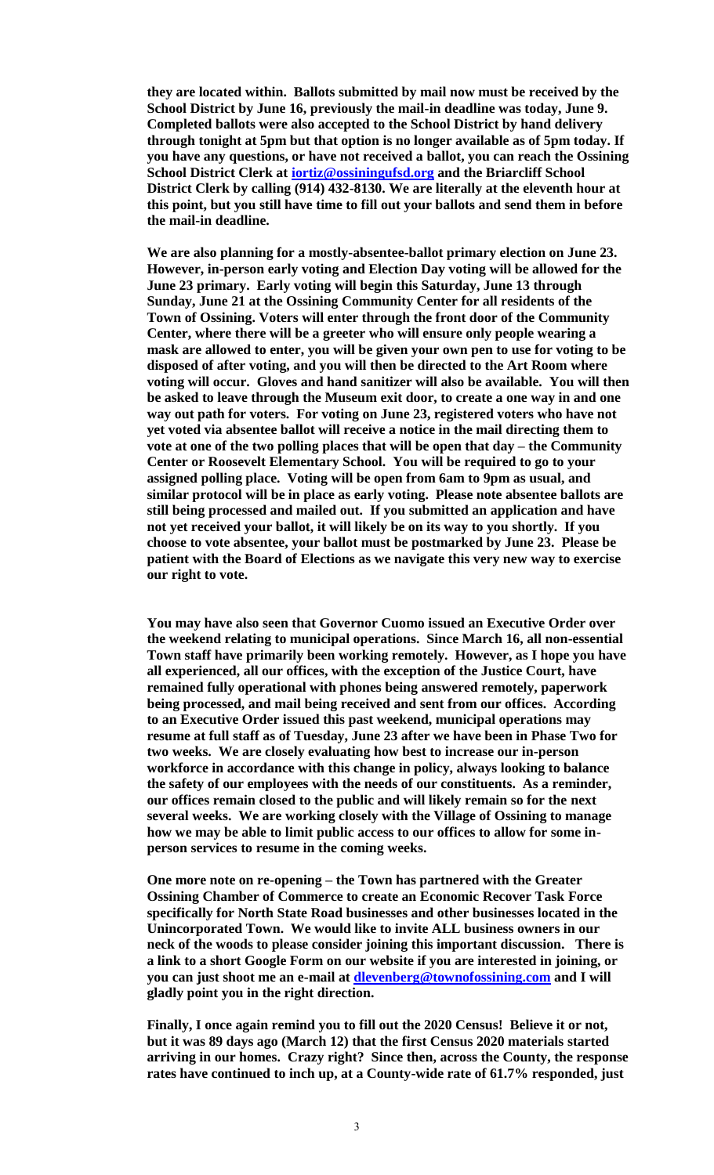**they are located within. Ballots submitted by mail now must be received by the School District by June 16, previously the mail-in deadline was today, June 9. Completed ballots were also accepted to the School District by hand delivery through tonight at 5pm but that option is no longer available as of 5pm today. If you have any questions, or have not received a ballot, you can reach the Ossining School District Clerk at [iortiz@ossiningufsd.org](mailto:iortiz@ossiningufsd.org) and the Briarcliff School District Clerk by calling (914) 432-8130. We are literally at the eleventh hour at this point, but you still have time to fill out your ballots and send them in before the mail-in deadline.** 

**We are also planning for a mostly-absentee-ballot primary election on June 23. However, in-person early voting and Election Day voting will be allowed for the June 23 primary. Early voting will begin this Saturday, June 13 through Sunday, June 21 at the Ossining Community Center for all residents of the Town of Ossining. Voters will enter through the front door of the Community Center, where there will be a greeter who will ensure only people wearing a mask are allowed to enter, you will be given your own pen to use for voting to be disposed of after voting, and you will then be directed to the Art Room where voting will occur. Gloves and hand sanitizer will also be available. You will then be asked to leave through the Museum exit door, to create a one way in and one way out path for voters. For voting on June 23, registered voters who have not yet voted via absentee ballot will receive a notice in the mail directing them to vote at one of the two polling places that will be open that day – the Community Center or Roosevelt Elementary School. You will be required to go to your assigned polling place. Voting will be open from 6am to 9pm as usual, and similar protocol will be in place as early voting. Please note absentee ballots are still being processed and mailed out. If you submitted an application and have not yet received your ballot, it will likely be on its way to you shortly. If you choose to vote absentee, your ballot must be postmarked by June 23. Please be patient with the Board of Elections as we navigate this very new way to exercise our right to vote.** 

**You may have also seen that Governor Cuomo issued an Executive Order over the weekend relating to municipal operations. Since March 16, all non-essential Town staff have primarily been working remotely. However, as I hope you have all experienced, all our offices, with the exception of the Justice Court, have remained fully operational with phones being answered remotely, paperwork being processed, and mail being received and sent from our offices. According to an Executive Order issued this past weekend, municipal operations may resume at full staff as of Tuesday, June 23 after we have been in Phase Two for two weeks. We are closely evaluating how best to increase our in-person workforce in accordance with this change in policy, always looking to balance the safety of our employees with the needs of our constituents. As a reminder, our offices remain closed to the public and will likely remain so for the next several weeks. We are working closely with the Village of Ossining to manage how we may be able to limit public access to our offices to allow for some inperson services to resume in the coming weeks.** 

**One more note on re-opening – the Town has partnered with the Greater Ossining Chamber of Commerce to create an Economic Recover Task Force specifically for North State Road businesses and other businesses located in the Unincorporated Town. We would like to invite ALL business owners in our neck of the woods to please consider joining this important discussion. There is a link to a short Google Form on our website if you are interested in joining, or you can just shoot me an e-mail at [dlevenberg@townofossining.com](mailto:dlevenberg@townofossining.com) and I will gladly point you in the right direction.** 

**Finally, I once again remind you to fill out the 2020 Census! Believe it or not, but it was 89 days ago (March 12) that the first Census 2020 materials started arriving in our homes. Crazy right? Since then, across the County, the response rates have continued to inch up, at a County-wide rate of 61.7% responded, just**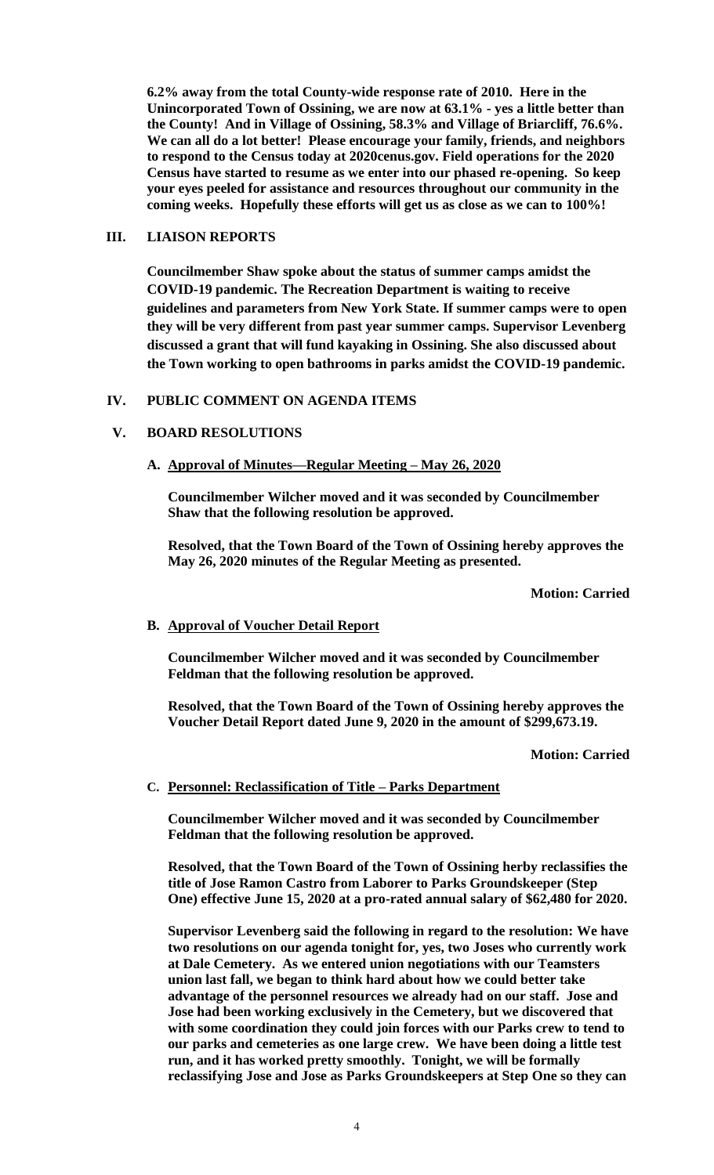**6.2% away from the total County-wide response rate of 2010. Here in the Unincorporated Town of Ossining, we are now at 63.1% - yes a little better than the County! And in Village of Ossining, 58.3% and Village of Briarcliff, 76.6%. We can all do a lot better! Please encourage your family, friends, and neighbors to respond to the Census today at 2020cenus.gov. Field operations for the 2020 Census have started to resume as we enter into our phased re-opening. So keep your eyes peeled for assistance and resources throughout our community in the coming weeks. Hopefully these efforts will get us as close as we can to 100%!** 

# **III. LIAISON REPORTS**

**Councilmember Shaw spoke about the status of summer camps amidst the COVID-19 pandemic. The Recreation Department is waiting to receive guidelines and parameters from New York State. If summer camps were to open they will be very different from past year summer camps. Supervisor Levenberg discussed a grant that will fund kayaking in Ossining. She also discussed about the Town working to open bathrooms in parks amidst the COVID-19 pandemic.**

# **IV. PUBLIC COMMENT ON AGENDA ITEMS**

# **V. BOARD RESOLUTIONS**

**A. Approval of Minutes—Regular Meeting – May 26, 2020**

**Councilmember Wilcher moved and it was seconded by Councilmember Shaw that the following resolution be approved.**

**Resolved, that the Town Board of the Town of Ossining hereby approves the May 26, 2020 minutes of the Regular Meeting as presented.**

**Motion: Carried**

# **B. Approval of Voucher Detail Report**

**Councilmember Wilcher moved and it was seconded by Councilmember Feldman that the following resolution be approved.**

**Resolved, that the Town Board of the Town of Ossining hereby approves the Voucher Detail Report dated June 9, 2020 in the amount of \$299,673.19.**

#### **Motion: Carried**

# **C. Personnel: Reclassification of Title – Parks Department**

**Councilmember Wilcher moved and it was seconded by Councilmember Feldman that the following resolution be approved.**

**Resolved, that the Town Board of the Town of Ossining herby reclassifies the title of Jose Ramon Castro from Laborer to Parks Groundskeeper (Step One) effective June 15, 2020 at a pro-rated annual salary of \$62,480 for 2020.** 

**Supervisor Levenberg said the following in regard to the resolution: We have two resolutions on our agenda tonight for, yes, two Joses who currently work at Dale Cemetery. As we entered union negotiations with our Teamsters union last fall, we began to think hard about how we could better take advantage of the personnel resources we already had on our staff. Jose and Jose had been working exclusively in the Cemetery, but we discovered that with some coordination they could join forces with our Parks crew to tend to our parks and cemeteries as one large crew. We have been doing a little test run, and it has worked pretty smoothly. Tonight, we will be formally reclassifying Jose and Jose as Parks Groundskeepers at Step One so they can**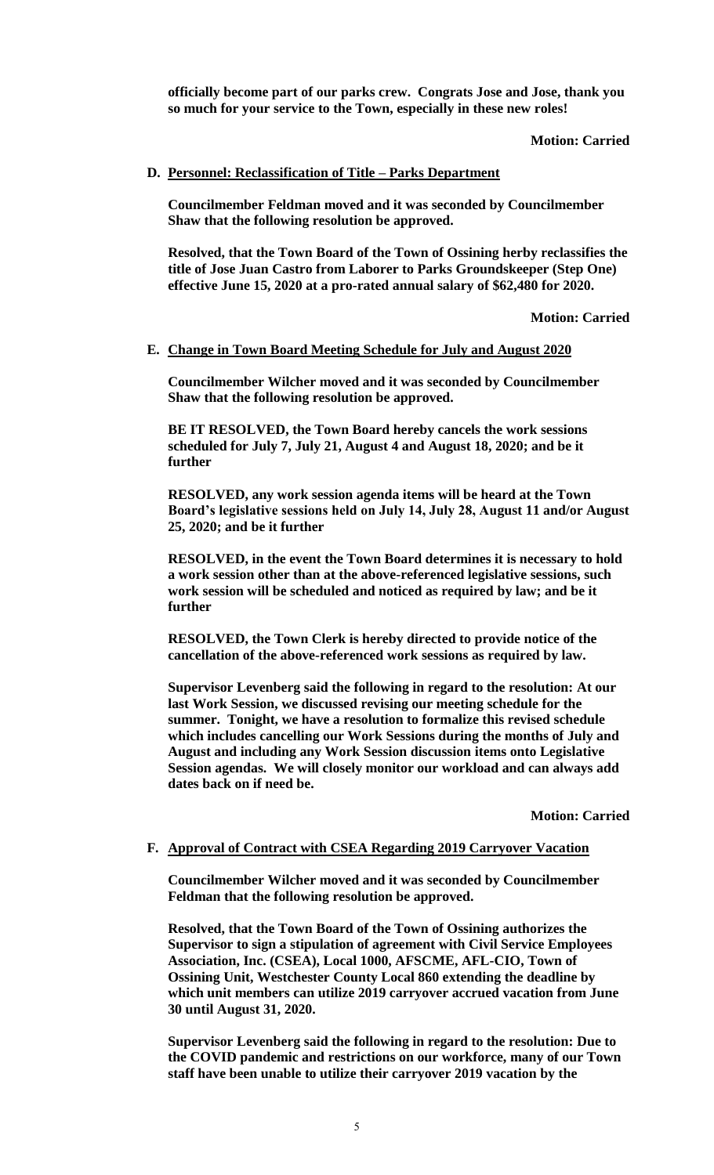**officially become part of our parks crew. Congrats Jose and Jose, thank you so much for your service to the Town, especially in these new roles!**

#### **Motion: Carried**

#### **D. Personnel: Reclassification of Title – Parks Department**

**Councilmember Feldman moved and it was seconded by Councilmember Shaw that the following resolution be approved.**

**Resolved, that the Town Board of the Town of Ossining herby reclassifies the title of Jose Juan Castro from Laborer to Parks Groundskeeper (Step One) effective June 15, 2020 at a pro-rated annual salary of \$62,480 for 2020.** 

**Motion: Carried**

#### **E. Change in Town Board Meeting Schedule for July and August 2020**

**Councilmember Wilcher moved and it was seconded by Councilmember Shaw that the following resolution be approved.**

**BE IT RESOLVED, the Town Board hereby cancels the work sessions scheduled for July 7, July 21, August 4 and August 18, 2020; and be it further**

**RESOLVED, any work session agenda items will be heard at the Town Board's legislative sessions held on July 14, July 28, August 11 and/or August 25, 2020; and be it further**

**RESOLVED, in the event the Town Board determines it is necessary to hold a work session other than at the above-referenced legislative sessions, such work session will be scheduled and noticed as required by law; and be it further** 

**RESOLVED, the Town Clerk is hereby directed to provide notice of the cancellation of the above-referenced work sessions as required by law.**

**Supervisor Levenberg said the following in regard to the resolution: At our last Work Session, we discussed revising our meeting schedule for the summer. Tonight, we have a resolution to formalize this revised schedule which includes cancelling our Work Sessions during the months of July and August and including any Work Session discussion items onto Legislative Session agendas. We will closely monitor our workload and can always add dates back on if need be.** 

**Motion: Carried**

#### **F. Approval of Contract with CSEA Regarding 2019 Carryover Vacation**

**Councilmember Wilcher moved and it was seconded by Councilmember Feldman that the following resolution be approved.**

**Resolved, that the Town Board of the Town of Ossining authorizes the Supervisor to sign a stipulation of agreement with Civil Service Employees Association, Inc. (CSEA), Local 1000, AFSCME, AFL-CIO, Town of Ossining Unit, Westchester County Local 860 extending the deadline by which unit members can utilize 2019 carryover accrued vacation from June 30 until August 31, 2020.** 

**Supervisor Levenberg said the following in regard to the resolution: Due to the COVID pandemic and restrictions on our workforce, many of our Town staff have been unable to utilize their carryover 2019 vacation by the**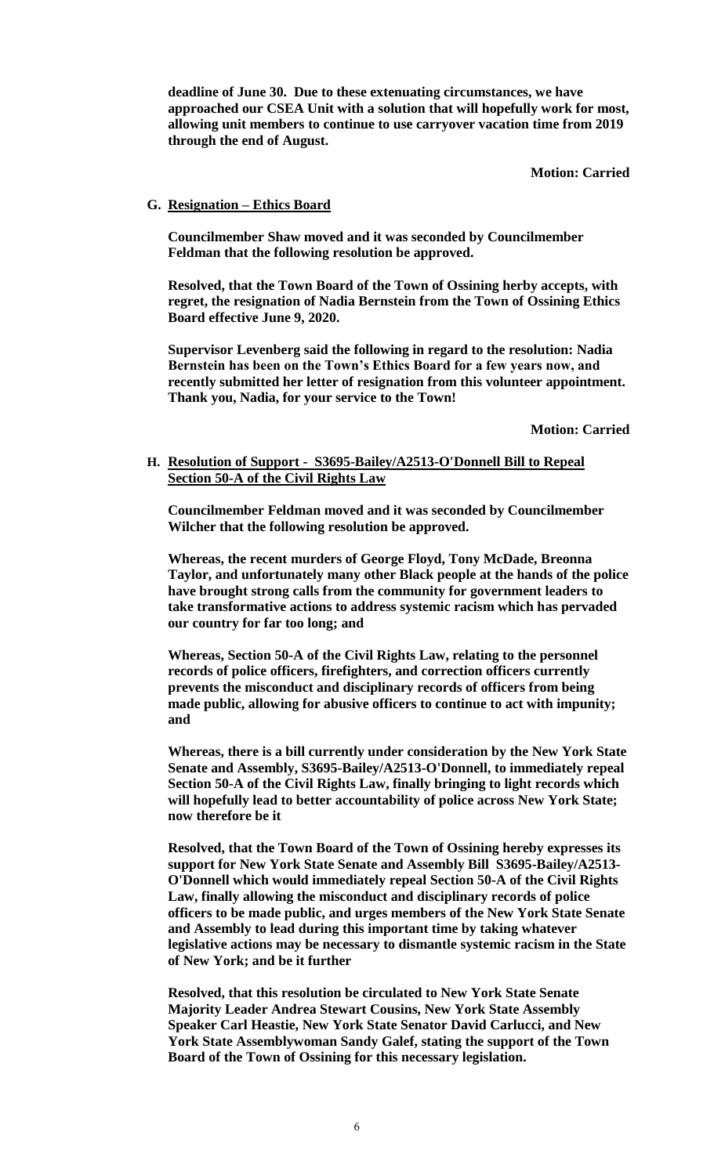**deadline of June 30. Due to these extenuating circumstances, we have approached our CSEA Unit with a solution that will hopefully work for most, allowing unit members to continue to use carryover vacation time from 2019 through the end of August.** 

**Motion: Carried**

# **G. Resignation – Ethics Board**

**Councilmember Shaw moved and it was seconded by Councilmember Feldman that the following resolution be approved.**

**Resolved, that the Town Board of the Town of Ossining herby accepts, with regret, the resignation of Nadia Bernstein from the Town of Ossining Ethics Board effective June 9, 2020.**

**Supervisor Levenberg said the following in regard to the resolution: Nadia Bernstein has been on the Town's Ethics Board for a few years now, and recently submitted her letter of resignation from this volunteer appointment. Thank you, Nadia, for your service to the Town!**

**Motion: Carried**

## **H. Resolution of Support - S3695-Bailey/A2513-O'Donnell Bill to Repeal Section 50-A of the Civil Rights Law**

**Councilmember Feldman moved and it was seconded by Councilmember Wilcher that the following resolution be approved.**

**Whereas, the recent murders of George Floyd, Tony McDade, Breonna Taylor, and unfortunately many other Black people at the hands of the police have brought strong calls from the community for government leaders to take transformative actions to address systemic racism which has pervaded our country for far too long; and** 

**Whereas, Section 50-A of the Civil Rights Law, relating to the personnel records of police officers, firefighters, and correction officers currently prevents the misconduct and disciplinary records of officers from being made public, allowing for abusive officers to continue to act with impunity; and** 

**Whereas, there is a bill currently under consideration by the New York State Senate and Assembly, S3695-Bailey/A2513-O'Donnell, to immediately repeal Section 50-A of the Civil Rights Law, finally bringing to light records which will hopefully lead to better accountability of police across New York State; now therefore be it** 

**Resolved, that the Town Board of the Town of Ossining hereby expresses its support for New York State Senate and Assembly Bill S3695-Bailey/A2513- O'Donnell which would immediately repeal Section 50-A of the Civil Rights Law, finally allowing the misconduct and disciplinary records of police officers to be made public, and urges members of the New York State Senate and Assembly to lead during this important time by taking whatever legislative actions may be necessary to dismantle systemic racism in the State of New York; and be it further** 

**Resolved, that this resolution be circulated to New York State Senate Majority Leader Andrea Stewart Cousins, New York State Assembly Speaker Carl Heastie, New York State Senator David Carlucci, and New York State Assemblywoman Sandy Galef, stating the support of the Town Board of the Town of Ossining for this necessary legislation.**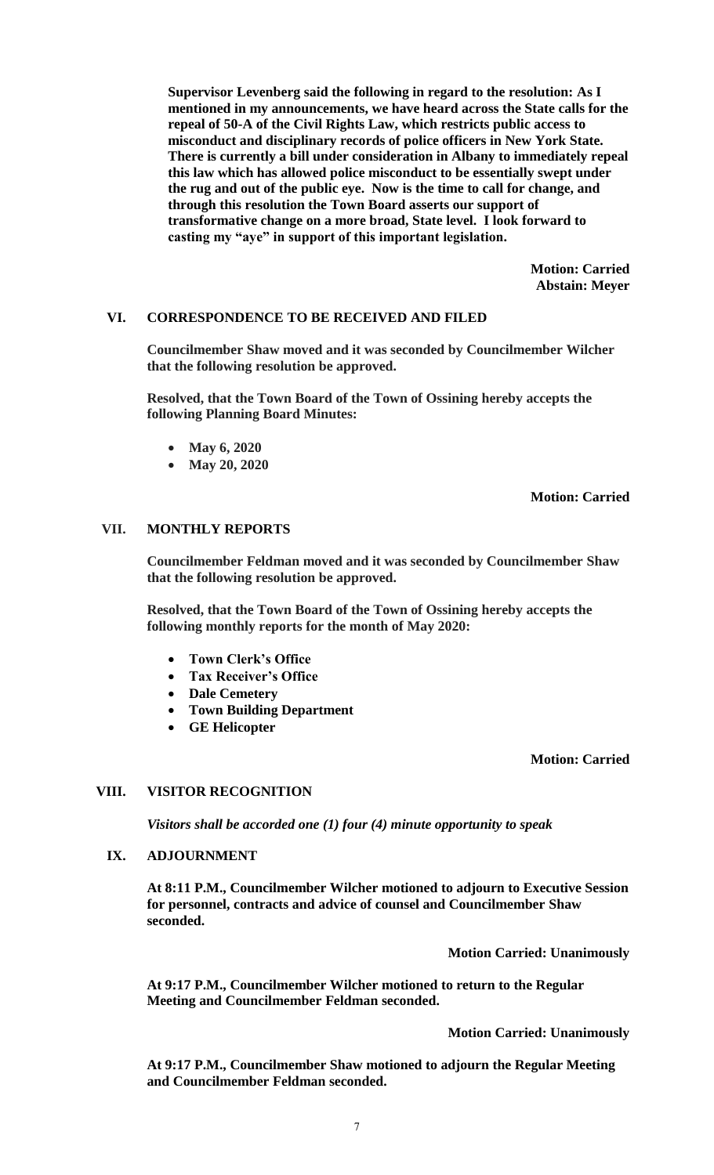**Supervisor Levenberg said the following in regard to the resolution: As I mentioned in my announcements, we have heard across the State calls for the repeal of 50-A of the Civil Rights Law, which restricts public access to misconduct and disciplinary records of police officers in New York State. There is currently a bill under consideration in Albany to immediately repeal this law which has allowed police misconduct to be essentially swept under the rug and out of the public eye. Now is the time to call for change, and through this resolution the Town Board asserts our support of transformative change on a more broad, State level. I look forward to casting my "aye" in support of this important legislation.** 

> **Motion: Carried Abstain: Meyer**

#### **VI. CORRESPONDENCE TO BE RECEIVED AND FILED**

**Councilmember Shaw moved and it was seconded by Councilmember Wilcher that the following resolution be approved.**

**Resolved, that the Town Board of the Town of Ossining hereby accepts the following Planning Board Minutes:**

- **May 6, 2020**
- **May 20, 2020**

#### **Motion: Carried**

### **VII. MONTHLY REPORTS**

**Councilmember Feldman moved and it was seconded by Councilmember Shaw that the following resolution be approved.**

**Resolved, that the Town Board of the Town of Ossining hereby accepts the following monthly reports for the month of May 2020:**

- **Town Clerk's Office**
- **Tax Receiver's Office**
- **Dale Cemetery**
- **Town Building Department**
- **GE Helicopter**

## **Motion: Carried**

### **VIII. VISITOR RECOGNITION**

*Visitors shall be accorded one (1) four (4) minute opportunity to speak*

#### **IX. ADJOURNMENT**

**At 8:11 P.M., Councilmember Wilcher motioned to adjourn to Executive Session for personnel, contracts and advice of counsel and Councilmember Shaw seconded.**

**Motion Carried: Unanimously**

**At 9:17 P.M., Councilmember Wilcher motioned to return to the Regular Meeting and Councilmember Feldman seconded.** 

**Motion Carried: Unanimously**

**At 9:17 P.M., Councilmember Shaw motioned to adjourn the Regular Meeting and Councilmember Feldman seconded.**